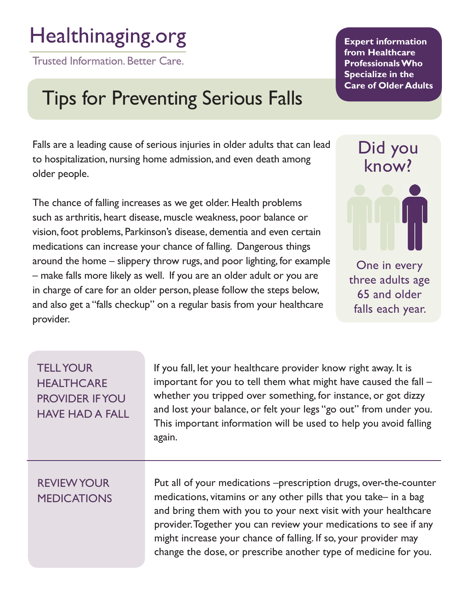# Healthinaging.org

**Trusted Information. Better Care.** 

## Tips for Preventing Serious Falls

Falls are a leading cause of serious injuries in older adults that can lead to hospitalization, nursing home admission, and even death among older people.

The chance of falling increases as we get older. Health problems such as arthritis, heart disease, muscle weakness, poor balance or vision, foot problems, Parkinson's disease, dementia and even certain medications can increase your chance of falling. Dangerous things around the home – slippery throw rugs, and poor lighting, for example – make falls more likely as well. If you are an older adult or you are in charge of care for an older person, please follow the steps below, and also get a "falls checkup" on a regular basis from your healthcare provider.

| <b>Expert information</b>   |
|-----------------------------|
| from Healthcare             |
| <b>Professionals Who</b>    |
| <b>Specialize in the</b>    |
| <b>Care of Older Adults</b> |

Did you know?

One in every three adults age 65 and older falls each year.

| <b>TELL YOUR</b><br><b>HEALTHCARE</b><br><b>PROVIDER IF YOU</b><br><b>HAVE HAD A FALL</b> | If you fall, let your healthcare provider know right away. It is<br>important for you to tell them what might have caused the fall -<br>whether you tripped over something, for instance, or got dizzy<br>and lost your balance, or felt your legs "go out" from under you.<br>This important information will be used to help you avoid falling<br>again.                                                         |
|-------------------------------------------------------------------------------------------|--------------------------------------------------------------------------------------------------------------------------------------------------------------------------------------------------------------------------------------------------------------------------------------------------------------------------------------------------------------------------------------------------------------------|
| <b>REVIEW YOUR</b><br><b>MEDICATIONS</b>                                                  | Put all of your medications -prescription drugs, over-the-counter<br>medications, vitamins or any other pills that you take- in a bag<br>and bring them with you to your next visit with your healthcare<br>provider. Together you can review your medications to see if any<br>might increase your chance of falling. If so, your provider may<br>change the dose, or prescribe another type of medicine for you. |